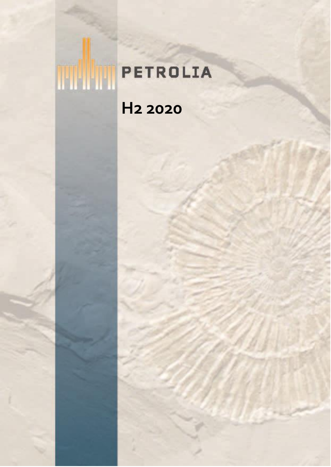# **THE PETROLIA H2 2020**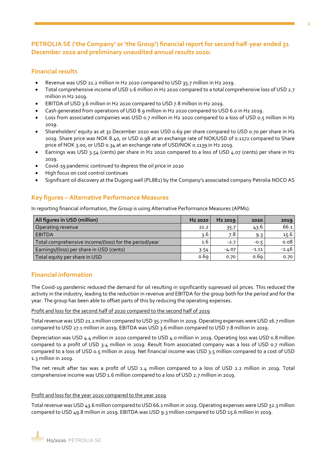#### **PETROLIA SE ('the Company' or 'the Group') financial report for second half-year ended 31 December 2020 and preliminary unaudited annual results 2020:**

#### **Financial results**

- Revenue was USD 21.2 million in H2 2020 compared to USD 35.7 million in H2 2019.
- Total comprehensive income of USD 1.6 million in H2 2020 compared to a total comprehensive loss of USD 2.7 million in H2 2019.
- EBITDA of USD 3.6 million in H2 2020 compared to USD 7.8 million in H2 2019.
- Cash generated from operations of USD 8.9 million in H2 2020 compared to USD 6.0 in H2 2019.
- Loss from associated companies was USD 0.7 million in H2 2020 compared to a loss of USD 0.5 million in H2 2019.
- Shareholders' equity as at 31 December 2020 was USD 0.69 per share compared to USD 0.70 per share in H2 2019. Share price was NOK 8.40, or USD 0.98 at an exchange rate of NOK/USD of 0.1172 compared to Share price of NOK 3.00, or USD 0.34 at an exchange rate of USD/NOK 0.1139 in H2 2019.
- Earnings was USD 3.54 (cents) per share in H2 2020 compared to a loss of USD 4.07 (cents) per share in H2 2019.
- Covid-19 pandemic continued to depress the oil price in 2020
- High focus on cost control continues
- Significant oil discovery at the Dugong well (PL882) by the Company's associated company Petrolia NOCO AS

#### **Key figures – Alternative Performance Measures**

In reporting financial information, the Group is using Alternative Performance Measures (APMs).

| All figures in USD (million)                          | H <sub>2</sub> 2020 | H <sub>2</sub> 2019 | 2020    | 2019    |
|-------------------------------------------------------|---------------------|---------------------|---------|---------|
| Operating revenue                                     | 21.2                | 35.7                | 43.6    | 66.1    |
| <b>EBITDA</b>                                         | 3.6                 | 7.8                 | 9.3     | 15.6    |
| Total comprehensive income/(loss) for the period/year | $1.6^{\circ}$       | $-2.7$              | $-0.5$  | 0.08    |
| Earnings/(loss) per share in USD (cents)              | 3.54                | $-4.07$             | $-1.11$ | $-1.46$ |
| Total equity per share in USD                         | 0.69                | 0.70                | 0.69    | 0.70    |

#### **Financial information**

The Covid-19 pandemic reduced the demand for oil resulting in significantly supressed oil prices. This reduced the activity in the industry, leading to the reduction in revenue and EBITDA for the group both for the period and for the year. The group has been able to offset parts of this by reducing the operating expenses.

#### Profit and loss for the second half of 2020 compared to the second half of 2019

Total revenue was USD 21.2 million compared to USD 35.7 million in 2019. Operating expenses were USD 16.7 million compared to USD 27.1 million in 2019. EBITDA was USD 3.6 million compared to USD 7.8 million in 2019.

Depreciation was USD 4.4 million in 2020 compared to USD 4.0 million in 2019. Operating loss was USD 0.8 million compared to a profit of USD 3.4 million in 2019. Result from associated company was a loss of USD 0.7 million compared to a loss of USD 0.5 million in 2019. Net financial income was USD 3.5 million compared to a cost of USD 1.3 million in 2019.

The net result after tax was a profit of USD 1.4 million compared to a loss of USD 2.2 million in 2019. Total comprehensive income was USD 1.6 million compared to a loss of USD 2.7 million in 2019.

#### Profit and loss for the year 2020 compared to the year 2019

Total revenue was USD 43.6 million compared to USD 66.1 million in 2019. Operating expenses were USD 32.3 million compared to USD 49.8 million in 2019. EBITDA was USD 9.3 million compared to USD 15.6 million in 2019.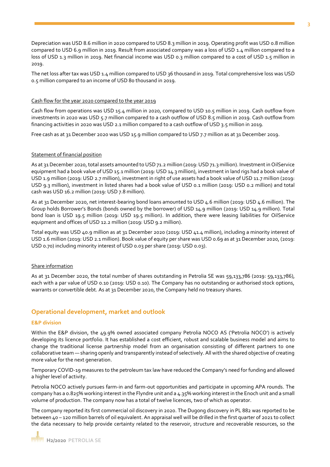Depreciation was USD 8.6 million in 2020 compared to USD 8.3 million in 2019. Operating profit was USD 0.8 million compared to USD 6.9 million in 2019. Result from associated company was a loss of USD 1.4 million compared to a loss of USD 1.3 million in 2019. Net financial income was USD 0.3 million compared to a cost of USD 1.5 million in 2019.

The net loss after tax was USD 1.4 million compared to USD 36 thousand in 2019. Total comprehensive loss was USD 0.5 million compared to an income of USD 80 thousand in 2019.

#### Cash flow for the year 2020 compared to the year 2019

Cash flow from operations was USD 15.4 million in 2020, compared to USD 10.5 million in 2019. Cash outflow from investments in 2020 was USD 5.7 million compared to a cash outflow of USD 8.5 million in 2019. Cash outflow from financing activities in 2020 was USD 2.1 million compared to a cash outflow of USD 3.5 million in 2019.

Free cash as at 31 December 2020 was USD 15.9 million compared to USD 7.7 million as at 31 December 2019.

#### Statement of financial position

As at 31 December 2020, total assets amounted to USD 71.2 million (2019: USD 71.3 million). Investment in OilService equipment had a book value of USD 15.1 million (2019: USD 14.3 million), investment in land rigs had a book value of USD 1.9 million (2019: USD 2.7 million), investment in right of use assets had a book value of USD 11.7 million (2019: USD 9.3 million), investment in listed shares had a book value of USD 0.1 million (2019: USD 0.2 million) and total cash was USD 16.2 million (2019: USD 7.8 million).

As at 31 December 2020, net interest-bearing bond loans amounted to USD 4.6 million (2019: USD 4.6 million). The Group holds Borrower's Bonds (bonds owned by the borrower) of USD 14.9 million (2019: USD 14.9 million). Total bond loan is USD 19.5 million (2019: USD 19.5 million). In addition, there were leasing liabilities for OilService equipment and offices of USD 12.2 million (2019: USD 9.2 million).

Total equity was USD 40.9 million as at 31 December 2020 (2019: USD 41.4 million), including a minority interest of USD 1.6 million (2019: USD 2.1 million). Book value of equity per share was USD 0.69 as at 31 December 2020, (2019: USD 0.70) including minority interest of USD 0.03 per share (2019: USD 0.03).

#### Share information

As at 31 December 2020, the total number of shares outstanding in Petrolia SE was 59,133,786 (2019: 59,133,786), each with a par value of USD 0.10 (2019: USD 0.10). The Company has no outstanding or authorised stock options, warrants or convertible debt. As at 31 December 2020, the Company held no treasury shares.

#### **Operational development, market and outlook**

#### **E&P division**

Within the E&P division, the 49.9% owned associated company Petrolia NOCO AS ('Petrolia NOCO') is actively developing its licence portfolio. It has established a cost efficient, robust and scalable business model and aims to change the traditional license partnership model from an organisation consisting of different partners to one collaborative team — sharing openly and transparently instead of selectively. All with the shared objective of creating more value for the next generation.

Temporary COVID-19 measures to the petroleum tax law have reduced the Company's need for funding and allowed a higher level of activity.

Petrolia NOCO actively pursues farm-in and farm-out opportunities and participate in upcoming APA rounds. The company has a 0.825% working interest in the Flyndre unit and a 4.35% working interest in the Enoch unit and a small volume of production. The company now has a total of twelve licences, two of which as operator.

The company reported its first commercial oil discovery in 2020. The Dugong discovery in PL 882 was reported to be between 40 – 120 million barrels of oil equivalent. An appraisal well will be drilled in the first quarter of 2021 to collect the data necessary to help provide certainty related to the reservoir, structure and recoverable resources, so the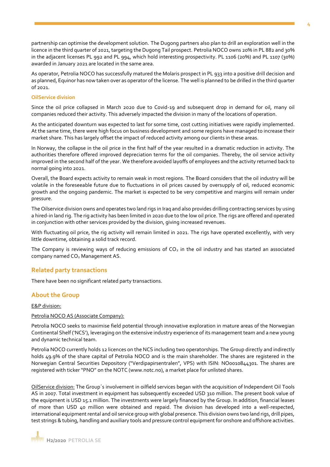partnership can optimise the development solution. The Dugong partners also plan to drill an exploration well in the licence in the third quarter of 2021, targeting the Dugong Tail prospect. Petrolia NOCO owns 20% in PL 882 and 30% in the adjacent licenses PL 992 and PL 994, which hold interesting prospectivity. PL 1106 (20%) and PL 1107 (30%) awarded in January 2021 are located in the same area.

As operator, Petrolia NOCO has successfully matured the Molaris prospect in PL 933 into a positive drill decision and as planned, Equinor has now taken over as operator of the license. The well is planned to be drilled in the third quarter of 2021.

#### **OilService division**

Since the oil price collapsed in March 2020 due to Covid-19 and subsequent drop in demand for oil, many oil companies reduced their activity. This adversely impacted the division in many of the locations of operation.

As the anticipated downturn was expected to last for some time, cost cutting initiatives were rapidly implemented. At the same time, there were high focus on business development and some regions have managed to increase their market share. This has largely offset the impact of reduced activity among our clients in these areas.

In Norway, the collapse in the oil price in the first half of the year resulted in a dramatic reduction in activity. The authorities therefore offered improved depreciation terms for the oil companies. Thereby, the oil service activity improved in the second half of the year. We therefore avoided layoffs of employees and the activity returned back to normal going into 2021.

Overall, the Board expects activity to remain weak in most regions. The Board considers that the oil industry will be volatile in the foreseeable future due to fluctuations in oil prices caused by oversupply of oil, reduced economic growth and the ongoing pandemic. The market is expected to be very competitive and margins will remain under pressure.

The Oilservice division owns and operates two land rigs in Iraq and also provides drilling contracting services by using a hired-in land rig. The rig activity has been limited in 2020 due to the low oil price. The rigs are offered and operated in conjunction with other services provided by the division, giving increased revenues.

With fluctuating oil price, the rig activity will remain limited in 2021. The rigs have operated excellently, with very little downtime, obtaining a solid track record.

The Company is reviewing ways of reducing emissions of  $CO<sub>2</sub>$  in the oil industry and has started an associated company named CO<sub>2</sub> Management AS.

#### **Related party transactions**

There have been no significant related party transactions.

#### **About the Group**

E&P division:

#### Petrolia NOCO AS (Associate Company):

Petrolia NOCO seeks to maximise field potential through innovative exploration in mature areas of the Norwegian Continental Shelf ('NCS'), leveraging on the extensive industry experience of its management team and a new young and dynamic technical team.

Petrolia NOCO currently holds 12 licences on the NCS including two operatorships. The Group directly and indirectly holds 49.9% of the share capital of Petrolia NOCO and is the main shareholder. The shares are registered in the Norwegian Central Securities Depository ("Verdipapirsentralen", VPS) with ISIN: NO0010844301. The shares are registered with ticker "PNO" on the NOTC (www.notc.no), a market place for unlisted shares.

OilService division: The Group´s involvement in oilfield services began with the acquisition of Independent Oil Tools AS in 2007. Total investment in equipment has subsequently exceeded USD 310 million. The present book value of the equipment is USD 15.1 million. The investments were largely financed by the Group. In addition, financial leases of more than USD 40 million were obtained and repaid. The division has developed into a well-respected, international equipment rental and oil service group with global presence. This division owns two land rigs, drill pipes, test strings & tubing, handling and auxiliary tools and pressure control equipment for onshore and offshore activities.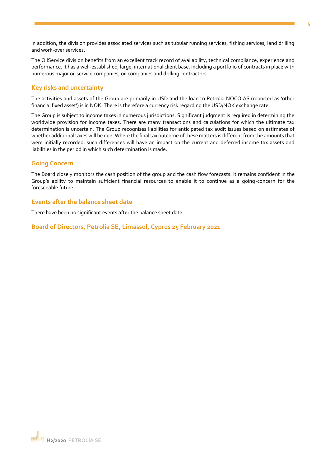In addition, the division provides associated services such as tubular running services, fishing services, land drilling and work-over services.

The OilService division benefits from an excellent track record of availability, technical compliance, experience and performance. It has a well-established, large, international client base, including a portfolio of contracts in place with numerous major oil service companies, oil companies and drilling contractors.

#### **Key risks and uncertainty**

The activities and assets of the Group are primarily in USD and the loan to Petrolia NOCO AS (reported as 'other financial fixed asset') is in NOK. There is therefore a currency risk regarding the USD/NOK exchange rate.

The Group is subject to income taxes in numerous jurisdictions. Significant judgment is required in determining the worldwide provision for income taxes. There are many transactions and calculations for which the ultimate tax determination is uncertain. The Group recognises liabilities for anticipated tax audit issues based on estimates of whether additional taxes will be due. Where the final tax outcome of these matters is different from the amounts that were initially recorded, such differences will have an impact on the current and deferred income tax assets and liabilities in the period in which such determination is made.

#### **Going Concern**

The Board closely monitors the cash position of the group and the cash flow forecasts. It remains confident in the Group's ability to maintain sufficient financial resources to enable it to continue as a going-concern for the foreseeable future.

#### **Events after the balance sheet date**

There have been no significant events after the balance sheet date.

**Board of Directors, Petrolia SE, Limassol, Cyprus 25 February 2021**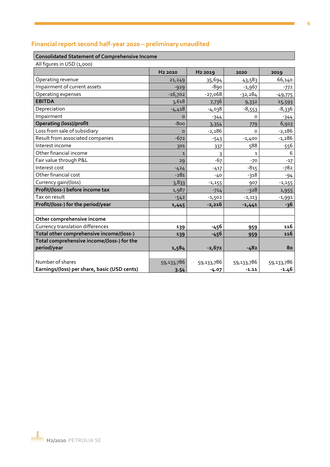## **Financial report second half-year 2020 – preliminary unaudited**

#### **Consolidated Statement of Comprehensive Income**

All figures in USD (1,000)

| $, ,$ $, ,$ $, $ $, $ $, $ $, $ $, $         | H <sub>2</sub> 2020 | H <sub>2</sub> 2019 | 2020         | 2019       |
|----------------------------------------------|---------------------|---------------------|--------------|------------|
| Operating revenue                            | 21,249              | 35,694              | 43,583       | 66,140     |
| Impairment of current assets                 | $-929$              | $-890$              | $-1,967$     | $-772$     |
| Operating expenses                           | $-16,702$           | $-27,068$           | $-32,284$    | $-49,775$  |
| <b>EBITDA</b>                                | 3,618               | 7,736               | 9,332        | 15,593     |
| Depreciation                                 | $-4,418$            | -4,038              | $-8,553$     | $-8,336$   |
| Impairment                                   | $\Omega$            | $-344$              | O            | $-344$     |
| <b>Operating (loss)/profit</b>               | $-800$              | 3,354               | 779          | 6,913      |
| Loss from sale of subsidiary                 | $\Omega$            | $-2,186$            | $\Omega$     | $-2,186$   |
| Result from associated companies             | $-672$              | $-543$              | $-1,400$     | $-1,286$   |
| Interest income                              | 301                 | 337                 | 588          | 556        |
| Other financial income                       | $\mathbf{1}$        | 3                   | $\mathbf{1}$ | 6          |
| Fair value through P&L                       | 29                  | $-67$               | $-70$        | $-17$      |
| Interest cost                                | $-424$              | $-417$              | $-815$       | $-782$     |
| Other financial cost                         | $-281$              | $-40$               | $-318$       | $-94$      |
| Currency gain/(loss)                         | 3,833               | $-1,155$            | 907          | $-1,155$   |
| Profit/(loss-) before income tax             | 1,987               | $-714$              | $-328$       | 1,955      |
| Tax on result                                | $-542$              | $-1,502$            | $-1,113$     | $-1,991$   |
| Profit/(loss-) for the period/year           | 1,445               | $-2,216$            | $-1,441$     | $-36$      |
|                                              |                     |                     |              |            |
| Other comprehensive income                   |                     |                     |              |            |
| Currency translation differences             | 139                 | $-456$              | 959          | 116        |
| Total other comprehensive income/(loss-)     | 139                 | -456                | 959          | 116        |
| Total comprehensive income/(loss-) for the   |                     |                     |              |            |
| period/year                                  | 1,584               | $-2,672$            | $-482$       | 80         |
|                                              |                     |                     |              |            |
| Number of shares                             | 59,133,786          | 59,133,786          | 59,133,786   | 59,133,786 |
| Earnings/(loss) per share, basic (USD cents) | 3.54                | $-4.07$             | $-1.11$      | $-1.46$    |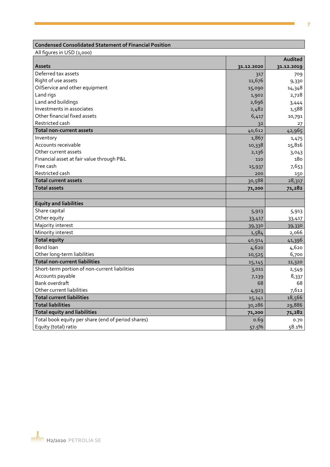## **Condensed Consolidated Statement of Financial Position**

All figures in USD (1,000)

|                                                    |            | Audited    |
|----------------------------------------------------|------------|------------|
| <b>Assets</b>                                      | 31.12.2020 | 31.12.2019 |
| Deferred tax assets                                | 317        | 709        |
| Right of use assets                                | 11,676     | 9,330      |
| OilService and other equipment                     | 15,090     | 14,348     |
| Land rigs                                          | 1,902      | 2,728      |
| Land and buildings                                 | 2,696      | 3,444      |
| Investments in associates                          | 2,482      | 1,588      |
| Other financial fixed assets                       | 6,417      | 10,791     |
| Restricted cash                                    | 32         | 27         |
| <b>Total non-current assets</b>                    | 40,612     | 42,965     |
| Inventory                                          | 1,867      | 1,475      |
| Accounts receivable                                | 10,338     | 15,816     |
| Other current assets                               | 2,136      | 3,043      |
| Financial asset at fair value through P&L          | 110        | 180        |
| Free cash                                          | 15,937     | 7,653      |
| Restricted cash                                    | 200        | 150        |
| <b>Total current assets</b>                        | 30,588     | 28,317     |
| <b>Total assets</b>                                | 71,200     | 71,282     |
|                                                    |            |            |
| <b>Equity and liabilities</b>                      |            |            |
| Share capital                                      | 5,913      | 5,913      |
| Other equity                                       | 33,417     | 33,417     |
| Majority interest                                  | 39,330     | 39,330     |
| Minority interest                                  | 1,584      | 2,066      |
| <b>Total equity</b>                                | 40,914     | 41,396     |
| Bond loan                                          | 4,620      | 4,620      |
| Other long-term liabilities                        | 10,525     | 6,700      |
| <b>Total non-current liabilities</b>               | 15,145     | 11,320     |
| Short-term portion of non-current liabilities      | 3,011      | 2,549      |
| Accounts payable                                   | 7,139      | 8,337      |
| Bank overdraft                                     | 68         | 68         |
| Other current liabilities                          | 4,923      | 7,612      |
| <b>Total current liabilities</b>                   | 15,141     | 18,566     |
| <b>Total liabilities</b>                           | 30,286     | 29,886     |
| <b>Total equity and liabilities</b>                | 71,200     | 71,282     |
| Total book equity per share (end of period shares) | 0.69       | 0.70       |
| Equity (total) ratio                               | 57.5%      | 58.1%      |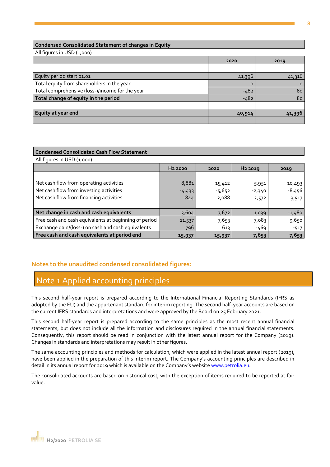#### **Condensed Consolidated Statement of changes in Equity**

All figures in USD (1,000)

|                                                 | 2020     | 2019     |
|-------------------------------------------------|----------|----------|
|                                                 |          |          |
| Equity period start 01.01                       | 41,396   | 41,316   |
| Total equity from shareholders in the year      | $\Omega$ | $\Omega$ |
| Total comprehensive (loss-)/income for the year | $-482$   | 80       |
| Total change of equity in the period            | $-482$   | 80       |
|                                                 |          |          |
| Equity at year end                              | 40,914   | 41,396   |
|                                                 |          |          |

#### **Condensed Consolidated Cash Flow Statement**

All figures in USD (1,000) **H2 2020 2020 H2 2019 2019** Net cash flow from operating activities  $8,881$   $15,412$   $5,951$   $10,493$ 

| Net cash flow from investing activities<br>Net cash flow from financing activities | $-4,433$<br>$-844$ | - -<br>$-5,652$<br>$-2,088$ | - - -<br>$-2,340$<br>$-2,572$ | .<br>$-8,456$<br>$-3,517$ |
|------------------------------------------------------------------------------------|--------------------|-----------------------------|-------------------------------|---------------------------|
|                                                                                    |                    |                             |                               |                           |
| Net change in cash and cash equivalents                                            | 3,604              | 7,672                       | 1,039                         | $-1,480$                  |
| Free cash and cash equivalents at beginning of period                              | 11,537             | 7,653                       | 7,083                         | 9,650                     |
| Exchange gain/(loss-) on cash and cash equivalents                                 | 796                | 613                         | -469                          | -517                      |
| Free cash and cash equivalents at period end                                       | 15,937             | 15,937                      | 7,653                         | 7,653                     |

#### **Notes to the unaudited condensed consolidated figures:**

### Note 1 Applied accounting principles

This second half-year report is prepared according to the International Financial Reporting Standards (IFRS as adopted by the EU) and the appurtenant standard for interim reporting. The second half-year accounts are based on the current IFRS standards and interpretations and were approved by the Board on 25 February 2021.

This second half-year report is prepared according to the same principles as the most recent annual financial statements, but does not include all the information and disclosures required in the annual financial statements. Consequently, this report should be read in conjunction with the latest annual report for the Company (2019). Changes in standards and interpretations may result in other figures.

The same accounting principles and methods for calculation, which were applied in the latest annual report (2019), have been applied in the preparation of this interim report. The Company's accounting principles are described in detail in its annual report for 2019 which is available on the Company's websit[e www.petrolia.eu.](http://www.petrolia.eu/)

The consolidated accounts are based on historical cost, with the exception of items required to be reported at fair value.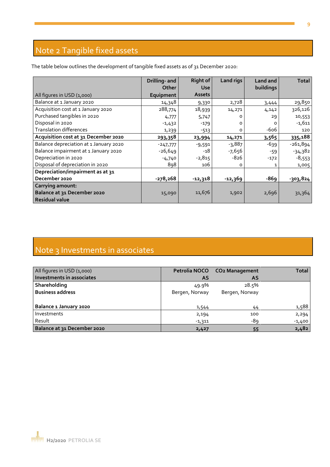# Note 2 Tangible fixed assets

The table below outlines the development of tangible fixed assets as of 31 December 2020:

|                                        | Drilling- and | <b>Right of</b> | <b>Land rigs</b> | Land and  | <b>Total</b> |
|----------------------------------------|---------------|-----------------|------------------|-----------|--------------|
|                                        | Other         | <b>Use</b>      |                  | buildings |              |
| All figures in USD (1,000)             | Equipment     | <b>Assets</b>   |                  |           |              |
| Balance at 1 January 2020              | 14,348        | 9,330           | 2,728            | 3,444     | 29,850       |
| Acquisition cost at 1 January 2020     | 288,774       | 18,939          | 14,271           | 4,142     | 326,126      |
| Purchased tangibles in 2020            | 4,777         | 5,747           | O                | 29        | 10,553       |
| Disposal in 2020                       | $-1,432$      | -179            | O                |           | $-1,611$     |
| <b>Translation differences</b>         | 1,239         | $-513$          | O                | $-606$    | 120          |
| Acquisition cost at 31 December 2020   | 293,358       | 23,994          | 14,271           | 3,565     | 335,188      |
| Balance depreciation at 1 January 2020 | $-247,777$    | $-9,591$        | $-3,887$         | $-639$    | $-261,894$   |
| Balance impairment at 1 January 2020   | $-26,649$     | -18             | $-7,656$         | $-59$     | $-34,382$    |
| Depreciation in 2020                   | $-4,740$      | $-2,815$        | $-826$           | $-172$    | $-8,553$     |
| Disposal of depreciation in 2020       | 898           | 106             | o                |           | 1,005        |
| Depreciation/impairment as at 31       |               |                 |                  |           |              |
| December 2020                          | $-278,268$    | $-12,318$       | -12,369          | $-869$    | $-303,824$   |
| <b>Carrying amount:</b>                |               |                 |                  |           |              |
| Balance at 31 December 2020            | 15,090        | 11,676          | 1,902            | 2,696     | 31,364       |
| <b>Residual value</b>                  |               |                 |                  |           |              |

# Note 3 Investments in associates

| All figures in USD (1,000)  |                | Petrolia NOCO CO2 Management | <b>Total</b> |
|-----------------------------|----------------|------------------------------|--------------|
| Investments in associates   | <b>AS</b>      | AS                           |              |
| Shareholding                | 49.9%          | 28.5%                        |              |
| <b>Business address</b>     | Bergen, Norway | Bergen, Norway               |              |
|                             |                |                              |              |
| Balance 1 January 2020      | 1,544          | 44                           | 1,588        |
| Investments                 | 2,194          | 100                          | 2,294        |
| Result                      | $-1,311$       | -89                          | $-1,400$     |
| Balance at 31 December 2020 | 2,427          | 55                           | 2,482        |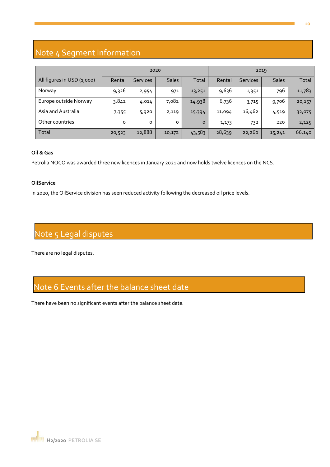# Note 4 Segment Information

|                            | 2020    |                 |              | 2019    |        |                 |              |        |
|----------------------------|---------|-----------------|--------------|---------|--------|-----------------|--------------|--------|
| All figures in USD (1,000) | Rental  | <b>Services</b> | <b>Sales</b> | Total   | Rental | <b>Services</b> | <b>Sales</b> | Total  |
| Norway                     | 9,326   | 2,954           | 971          | 13,251  | 9,636  | 1,351           | 796          | 11,783 |
| Europe outside Norway      | 3,842   | 4,014           | 7,082        | 14,938  | 6,736  | 3,715           | 9,706        | 20,157 |
| Asia and Australia         | 7,355   | 5,920           | 2,119        | 15,394  | 11,094 | 16,462          | 4,519        | 32,075 |
| Other countries            | $\circ$ | $\circ$         | $\circ$      | $\circ$ | 1,173  | 732             | 220          | 2,125  |
| Total                      | 20,523  | 12,888          | 10,172       | 43,583  | 28,639 | 22,260          | 15,241       | 66,140 |

#### **Oil & Gas**

Petrolia NOCO was awarded three new licences in January 2021 and now holds twelve licences on the NCS.

#### **OilService**

In 2020, the OilService division has seen reduced activity following the decreased oil price levels.

# Note 5 Legal disputes

There are no legal disputes.

## Note 6 Events after the balance sheet date

There have been no significant events after the balance sheet date.